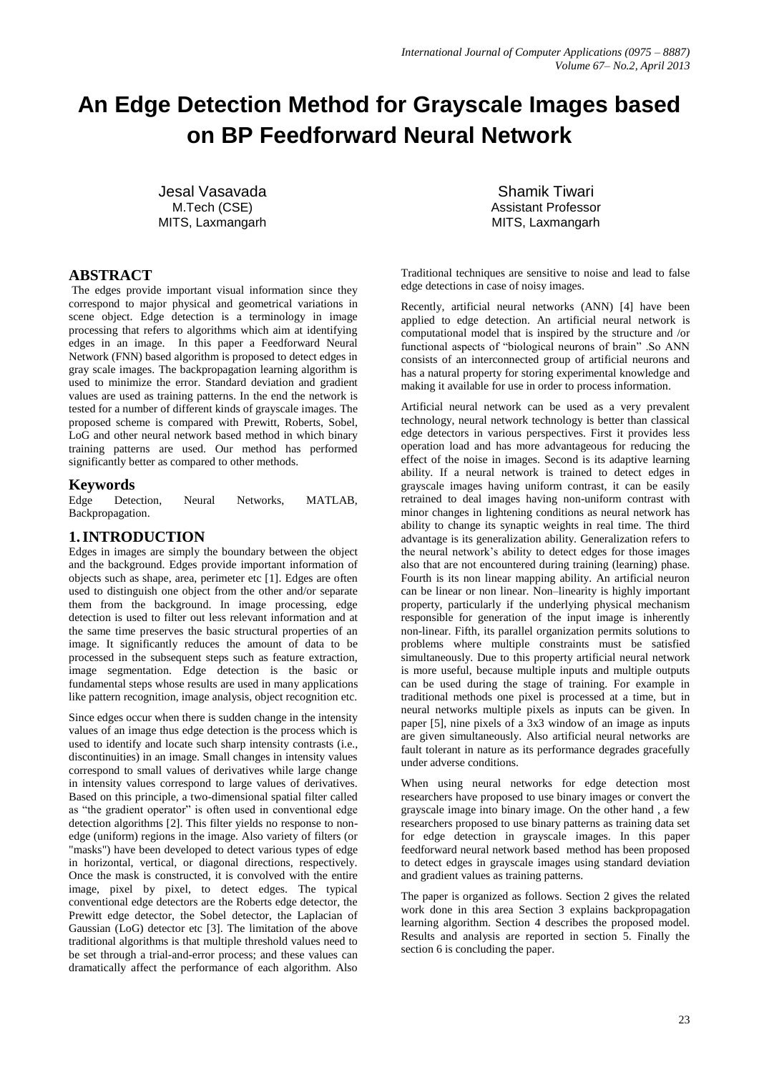# **An Edge Detection Method for Grayscale Images based on BP Feedforward Neural Network**

Jesal Vasavada M.Tech (CSE) MITS, Laxmangarh

# **ABSTRACT**

The edges provide important visual information since they correspond to major physical and geometrical variations in scene object. Edge detection is a terminology in image processing that refers to algorithms which aim at identifying edges in an image. In this paper a Feedforward Neural Network (FNN) based algorithm is proposed to detect edges in gray scale images. The backpropagation learning algorithm is used to minimize the error. Standard deviation and gradient values are used as training patterns. In the end the network is tested for a number of different kinds of grayscale images. The proposed scheme is compared with Prewitt, Roberts, Sobel, LoG and other neural network based method in which binary training patterns are used. Our method has performed significantly better as compared to other methods.

## **Keywords**

Edge Detection, Neural Networks, MATLAB, Backpropagation.

## **1.INTRODUCTION**

Edges in images are simply the boundary between the object and the background. Edges provide important information of objects such as shape, area, perimeter etc [1]. Edges are often used to distinguish one object from the other and/or separate them from the background. In image processing, edge detection is used to filter out less relevant information and at the same time preserves the basic structural properties of an image. It significantly reduces the amount of data to be processed in the subsequent steps such as feature extraction, image segmentation. Edge detection is the basic or fundamental steps whose results are used in many applications like pattern recognition, image analysis, object recognition etc.

Since edges occur when there is sudden change in the intensity values of an image thus edge detection is the process which is used to identify and locate such sharp intensity contrasts (i.e., discontinuities) in an image. Small changes in intensity values correspond to small values of derivatives while large change in intensity values correspond to large values of derivatives. Based on this principle, a two-dimensional spatial filter called as "the gradient operator" is often used in conventional edge detection algorithms [2]. This filter yields no response to nonedge (uniform) regions in the image. Also variety of filters (or "masks") have been developed to detect various types of edge in horizontal, vertical, or diagonal directions, respectively. Once the mask is constructed, it is convolved with the entire image, pixel by pixel, to detect edges. The typical conventional edge detectors are the Roberts edge detector, the Prewitt edge detector, the Sobel detector, the Laplacian of Gaussian (LoG) detector etc [3]. The limitation of the above traditional algorithms is that multiple threshold values need to be set through a trial-and-error process; and these values can dramatically affect the performance of each algorithm. Also

Shamik Tiwari Assistant Professor MITS, Laxmangarh

Traditional techniques are sensitive to noise and lead to false edge detections in case of noisy images.

Recently, artificial neural networks (ANN) [4] have been applied to edge detection. An artificial neural network is computational model that is inspired by the structure and /or functional aspects of "biological neurons of brain" .So ANN consists of an interconnected group of artificial neurons and has a natural property for storing experimental knowledge and making it available for use in order to process information.

Artificial neural network can be used as a very prevalent technology, neural network technology is better than classical edge detectors in various perspectives. First it provides less operation load and has more advantageous for reducing the effect of the noise in images. Second is its adaptive learning ability. If a neural network is trained to detect edges in grayscale images having uniform contrast, it can be easily retrained to deal images having non-uniform contrast with minor changes in lightening conditions as neural network has ability to change its synaptic weights in real time. The third advantage is its generalization ability. Generalization refers to the neural network's ability to detect edges for those images also that are not encountered during training (learning) phase. Fourth is its non linear mapping ability. An artificial neuron can be linear or non linear. Non–linearity is highly important property, particularly if the underlying physical mechanism responsible for generation of the input image is inherently non-linear. Fifth, its parallel organization permits solutions to problems where multiple constraints must be satisfied simultaneously. Due to this property artificial neural network is more useful, because multiple inputs and multiple outputs can be used during the stage of training. For example in traditional methods one pixel is processed at a time, but in neural networks multiple pixels as inputs can be given. In paper [5], nine pixels of a 3x3 window of an image as inputs are given simultaneously. Also artificial neural networks are fault tolerant in nature as its performance degrades gracefully under adverse conditions.

When using neural networks for edge detection most researchers have proposed to use binary images or convert the grayscale image into binary image. On the other hand , a few researchers proposed to use binary patterns as training data set for edge detection in grayscale images. In this paper feedforward neural network based method has been proposed to detect edges in grayscale images using standard deviation and gradient values as training patterns.

The paper is organized as follows. Section 2 gives the related work done in this area Section 3 explains backpropagation learning algorithm. Section 4 describes the proposed model. Results and analysis are reported in section 5. Finally the section 6 is concluding the paper.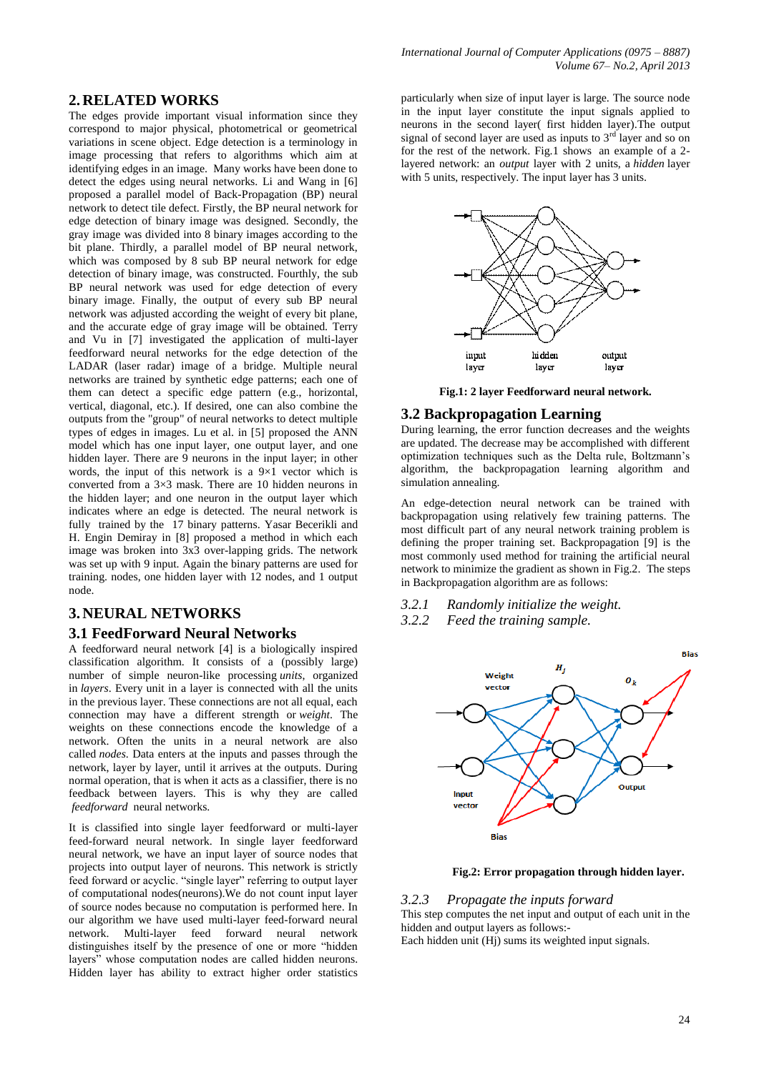# **2. RELATED WORKS**

The edges provide important visual information since they correspond to major physical, photometrical or geometrical variations in scene object. Edge detection is a terminology in image processing that refers to algorithms which aim at identifying edges in an image. Many works have been done to detect the edges using neural networks. Li and Wang in [6] proposed a parallel model of Back-Propagation (BP) neural network to detect tile defect. Firstly, the BP neural network for edge detection of binary image was designed. Secondly, the gray image was divided into 8 binary images according to the bit plane. Thirdly, a parallel model of BP neural network, which was composed by 8 sub BP neural network for edge detection of binary image, was constructed. Fourthly, the sub BP neural network was used for edge detection of every binary image. Finally, the output of every sub BP neural network was adjusted according the weight of every bit plane, and the accurate edge of gray image will be obtained. Terry and Vu in [7] investigated the application of multi-layer feedforward neural networks for the edge detection of the LADAR (laser radar) image of a bridge. Multiple neural networks are trained by synthetic edge patterns; each one of them can detect a specific edge pattern (e.g., horizontal, vertical, diagonal, etc.). If desired, one can also combine the outputs from the "group" of neural networks to detect multiple types of edges in images. Lu et al. in [5] proposed the ANN model which has one input layer, one output layer, and one hidden layer. There are  $9$  neurons in the input layer; in other words, the input of this network is a  $9\times 1$  vector which is converted from a 3×3 mask. There are 10 hidden neurons in the hidden layer; and one neuron in the output layer which indicates where an edge is detected. The neural network is fully trained by the 17 binary patterns. Yasar Becerikli and H. Engin Demiray in [8] proposed a method in which each image was broken into 3x3 over-lapping grids. The network was set up with 9 input. Again the binary patterns are used for training. nodes, one hidden layer with 12 nodes, and 1 output node.

## **3. NEURAL NETWORKS**

## **3.1 FeedForward Neural Networks**

A feedforward neural network [4] is a biologically inspired classification algorithm. It consists of a (possibly large) number of simple neuron-like processing *units*, organized in *layers*. Every unit in a layer is connected with all the units in the previous layer. These connections are not all equal, each connection may have a different strength or *weight*. The weights on these connections encode the knowledge of a network. Often the units in a neural network are also called *nodes*. Data enters at the inputs and passes through the network, layer by layer, until it arrives at the outputs. During normal operation, that is when it acts as a classifier, there is no feedback between layers. This is why they are called *feedforward* neural networks.

It is classified into single layer feedforward or multi-layer feed-forward neural network. In single layer feedforward neural network, we have an input layer of source nodes that projects into output layer of neurons. This network is strictly feed forward or acyclic. "single layer" referring to output layer of computational nodes(neurons).We do not count input layer of source nodes because no computation is performed here. In our algorithm we have used multi-layer feed-forward neural network. Multi-layer feed forward neural network distinguishes itself by the presence of one or more "hidden layers" whose computation nodes are called hidden neurons. Hidden layer has ability to extract higher order statistics

particularly when size of input layer is large. The source node in the input layer constitute the input signals applied to neurons in the second layer( first hidden layer).The output signal of second layer are used as inputs to  $3<sup>rd</sup>$  layer and so on for the rest of the network. Fig.1 shows an example of a 2 layered network: an *output* layer with 2 units, a *hidden* layer with 5 units, respectively. The input layer has 3 units.



**Fig.1: 2 layer Feedforward neural network.**

## **3.2 Backpropagation Learning**

During learning, the error function decreases and the weights are updated. The decrease may be accomplished with different optimization techniques such as the Delta rule, Boltzmann's algorithm, the backpropagation learning algorithm and simulation annealing.

An edge-detection neural network can be trained with backpropagation using relatively few training patterns. The most difficult part of any neural network training problem is defining the proper training set. Backpropagation [9] is the most commonly used method for training the artificial neural network to minimize the gradient as shown in Fig.2. The steps in Backpropagation algorithm are as follows:

- *3.2.1 Randomly initialize the weight.*
- *3.2.2 Feed the training sample.*



**Fig.2: Error propagation through hidden layer.**

## *3.2.3 Propagate the inputs forward*

This step computes the net input and output of each unit in the hidden and output layers as follows:-

Each hidden unit (Hj) sums its weighted input signals.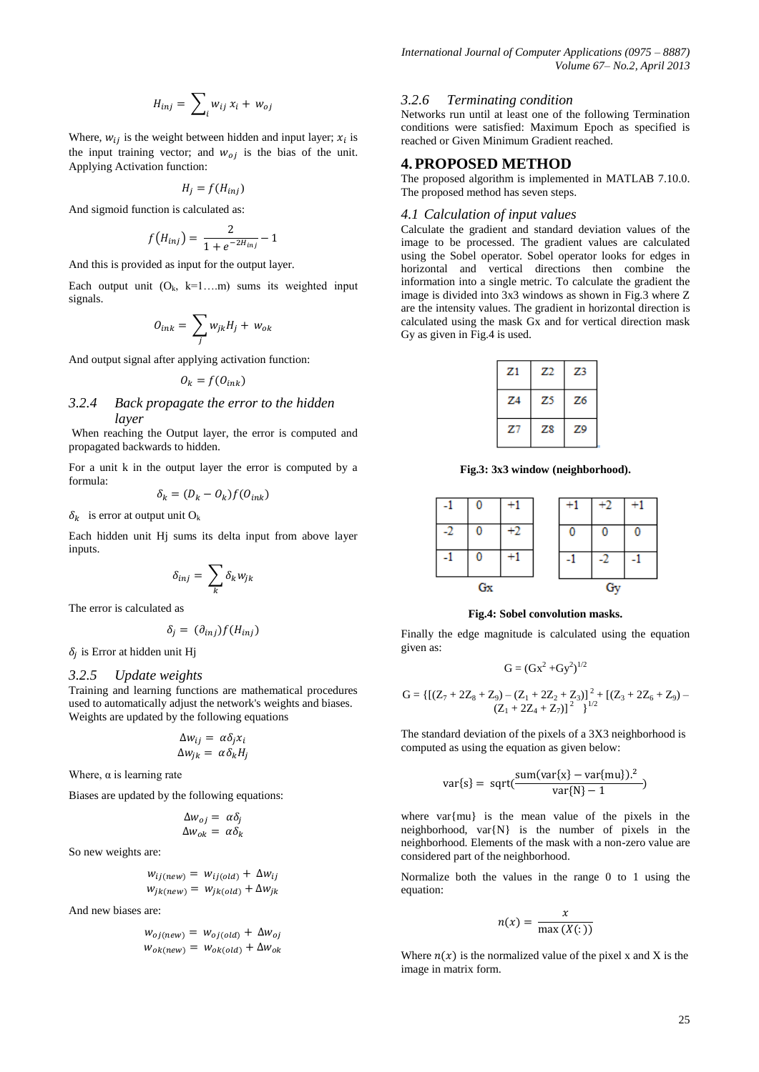$$
H_{inj} = \sum_{i} w_{ij} x_i + w_{oj}
$$

Where,  $w_{ij}$  is the weight between hidden and input layer;  $x_i$  is the input training vector; and  $w_{oj}$  is the bias of the unit. Applying Activation function:

$$
H_i = f(H_{inj})
$$

And sigmoid function is calculated as:

$$
f(H_{inj}) = \frac{2}{1 + e^{-2H_{inj}}} - 1
$$

And this is provided as input for the output layer.

Each output unit  $(O_k, k=1...m)$  sums its weighted input signals.

$$
O_{ink} = \sum_{j} w_{jk} H_j + w_{ok}
$$

And output signal after applying activation function:

$$
O_k = f(O_{ink})
$$

## *3.2.4 Back propagate the error to the hidden layer*

When reaching the Output layer, the error is computed and propagated backwards to hidden.

For a unit k in the output layer the error is computed by a formula: and a state

$$
\delta_k = (D_k - O_k)f(O_{ink})
$$

 $\delta_k$  is error at output unit O<sub>k</sub>

Each hidden unit Hj sums its delta input from above layer inputs.

$$
\delta_{inj}=\sum_k \delta_k w_{jk}
$$

The error is calculated as

$$
\delta_j = (\partial_{inj}) f(H_{inj})
$$

 $\delta_i$  is Error at hidden unit Hj

## *3.2.5 Update weights*

Training and learning functions are mathematical procedures used to automatically adjust the network's weights and biases. Weights are updated by the following equations

$$
\Delta w_{ij} = \alpha \delta_j x_i
$$
  

$$
\Delta w_{jk} = \alpha \delta_k H_j
$$

Where,  $\alpha$  is learning rate

Biases are updated by the following equations:

$$
\Delta w_{oj} = \alpha \delta_j
$$
  

$$
\Delta w_{ok} = \alpha \delta_k
$$

So new weights are:

$$
w_{ij(new)} = w_{ij(old)} + \Delta w_{ij}
$$
  

$$
w_{jk(new)} = w_{jk(old)} + \Delta w_{jk}
$$

And new biases are:

$$
w_{oj(new)} = w_{oj(old)} + \Delta w_{oj}
$$
  

$$
w_{ok(new)} = w_{ok(old)} + \Delta w_{ok}
$$

#### *3.2.6 Terminating condition*

Networks run until at least one of the following Termination conditions were satisfied: Maximum Epoch as specified is reached or Given Minimum Gradient reached.

## **4.PROPOSED METHOD**

The proposed algorithm is implemented in MATLAB 7.10.0. The proposed method has seven steps.

#### *4.1 Calculation of input values*

Calculate the gradient and standard deviation values of the image to be processed. The gradient values are calculated using the Sobel operator. Sobel operator looks for edges in horizontal and vertical directions then combine the information into a single metric. To calculate the gradient the image is divided into 3x3 windows as shown in Fig.3 where Z are the intensity values. The gradient in horizontal direction is calculated using the mask Gx and for vertical direction mask Gy as given in Fig.4 is used.

| Z1 | Z2 | Z3 |
|----|----|----|
| Z4 | Z5 | Z6 |
| Z7 | Z8 | Z9 |

**Fig.3: 3x3 window (neighborhood).**



#### **Fig.4: Sobel convolution masks.**

Finally the edge magnitude is calculated using the equation given as:

$$
G=(Gx^2+Gy^2)^{1/2}
$$

$$
G=\{\left[(Z_7+2Z_8+Z_9)-(Z_1+2Z_2+Z_3)\right]^2+\left[(Z_3+2Z_6+Z_9)-\\(Z_1+2Z_4+Z_7)\right]^2\}^{1/2}
$$

The standard deviation of the pixels of a 3X3 neighborhood is computed as using the equation as given below:

$$
var\{s\} = sqrt(\frac{sum(var\{x\} - var\{mu\})^2}{var\{N\} - 1})
$$

where var{mu} is the mean value of the pixels in the neighborhood, var{N} is the number of pixels in the neighborhood. Elements of the mask with a non-zero value are considered part of the neighborhood.

Normalize both the values in the range 0 to 1 using the equation:

$$
n(x) = \frac{x}{\max(X(:))}
$$

Where  $n(x)$  is the normalized value of the pixel x and X is the image in matrix form.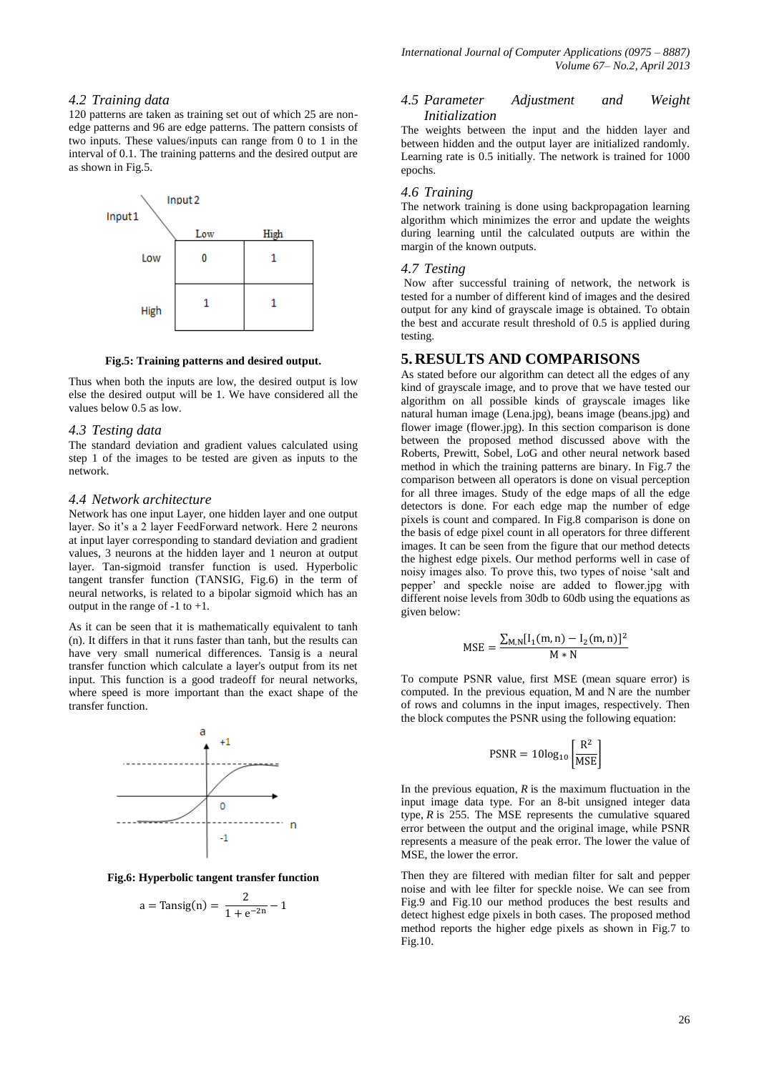## *4.2 Training data*

120 patterns are taken as training set out of which 25 are nonedge patterns and 96 are edge patterns. The pattern consists of two inputs. These values/inputs can range from 0 to 1 in the interval of 0.1. The training patterns and the desired output are as shown in Fig.5.



**Fig.5: Training patterns and desired output.**

Thus when both the inputs are low, the desired output is low else the desired output will be 1. We have considered all the values below 0.5 as low.

## *4.3 Testing data*

The standard deviation and gradient values calculated using step 1 of the images to be tested are given as inputs to the network.

#### *4.4 Network architecture*

Network has one input Layer, one hidden layer and one output layer. So it's a 2 layer FeedForward network. Here 2 neurons at input layer corresponding to standard deviation and gradient values, 3 neurons at the hidden layer and 1 neuron at output layer. Tan-sigmoid transfer function is used. Hyperbolic tangent transfer function (TANSIG, Fig.6) in the term of neural networks, is related to a bipolar sigmoid which has an output in the range of  $-1$  to  $+1$ .

As it can be seen that it is mathematically equivalent to tanh (n). It differs in that it runs faster than tanh, but the results can have very small numerical differences. Tansig is a neural transfer function which calculate a layer's output from its net input. This function is a good tradeoff for neural networks, where speed is more important than the exact shape of the transfer function.



**Fig.6: Hyperbolic tangent transfer function**

$$
a = \text{Tansig}(n) = \frac{2}{1 + e^{-2n}} - 1
$$

## *4.5 Parameter Adjustment and Weight Initialization*

The weights between the input and the hidden layer and between hidden and the output layer are initialized randomly. Learning rate is 0.5 initially. The network is trained for 1000 epochs.

## *4.6 Training*

The network training is done using backpropagation learning algorithm which minimizes the error and update the weights during learning until the calculated outputs are within the margin of the known outputs.

#### *4.7 Testing*

Now after successful training of network, the network is tested for a number of different kind of images and the desired output for any kind of grayscale image is obtained. To obtain the best and accurate result threshold of 0.5 is applied during testing.

## **5. RESULTS AND COMPARISONS**

As stated before our algorithm can detect all the edges of any kind of grayscale image, and to prove that we have tested our algorithm on all possible kinds of grayscale images like natural human image (Lena.jpg), beans image (beans.jpg) and flower image (flower.jpg). In this section comparison is done between the proposed method discussed above with the Roberts, Prewitt, Sobel, LoG and other neural network based method in which the training patterns are binary. In Fig.7 the comparison between all operators is done on visual perception for all three images. Study of the edge maps of all the edge detectors is done. For each edge map the number of edge pixels is count and compared. In Fig.8 comparison is done on the basis of edge pixel count in all operators for three different images. It can be seen from the figure that our method detects the highest edge pixels. Our method performs well in case of noisy images also. To prove this, two types of noise 'salt and pepper' and speckle noise are added to flower.jpg with different noise levels from 30db to 60db using the equations as given below:

$$
MSE = \frac{\sum_{M,N} [I_1(m,n) - I_2(m,n)]^2}{M*N}
$$

To compute PSNR value, first MSE (mean square error) is computed. In the previous equation, M and N are the number of rows and columns in the input images, respectively. Then the block computes the PSNR using the following equation:

$$
PSNR = 10\log_{10}\left[\frac{R^2}{MSE}\right]
$$

In the previous equation, *R* is the maximum fluctuation in the input image data type. For an 8-bit unsigned integer data type, *R* is 255. The MSE represents the cumulative squared error between the output and the original image, while PSNR represents a measure of the peak error. The lower the value of MSE, the lower the error.

Then they are filtered with median filter for salt and pepper noise and with lee filter for speckle noise. We can see from Fig.9 and Fig.10 our method produces the best results and detect highest edge pixels in both cases. The proposed method method reports the higher edge pixels as shown in Fig.7 to Fig.10.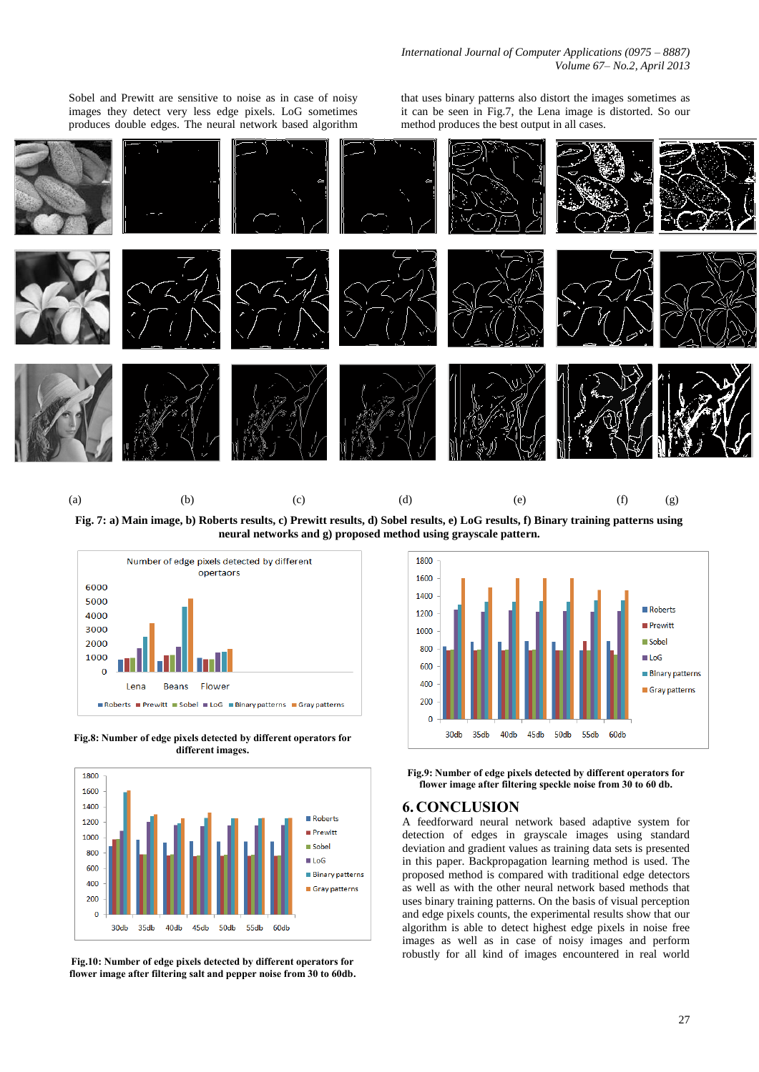Sobel and Prewitt are sensitive to noise as in case of noisy images they detect very less edge pixels. LoG sometimes produces double edges. The neural network based algorithm

that uses binary patterns also distort the images sometimes as it can be seen in Fig.7, the Lena image is distorted. So our method produces the best output in all cases.



**Fig. 7: a) Main image, b) Roberts results, c) Prewitt results, d) Sobel results, e) LoG results, f) Binary training patterns using neural networks and g) proposed method using grayscale pattern.**



**Fig.8: Number of edge pixels detected by different operators for different images.**



**Fig.10: Number of edge pixels detected by different operators for flower image after filtering salt and pepper noise from 30 to 60db.**



**Fig.9: Number of edge pixels detected by different operators for flower image after filtering speckle noise from 30 to 60 db.**

## **6. CONCLUSION**

A feedforward neural network based adaptive system for detection of edges in grayscale images using standard deviation and gradient values as training data sets is presented in this paper. Backpropagation learning method is used. The proposed method is compared with traditional edge detectors as well as with the other neural network based methods that uses binary training patterns. On the basis of visual perception and edge pixels counts, the experimental results show that our algorithm is able to detect highest edge pixels in noise free images as well as in case of noisy images and perform robustly for all kind of images encountered in real world